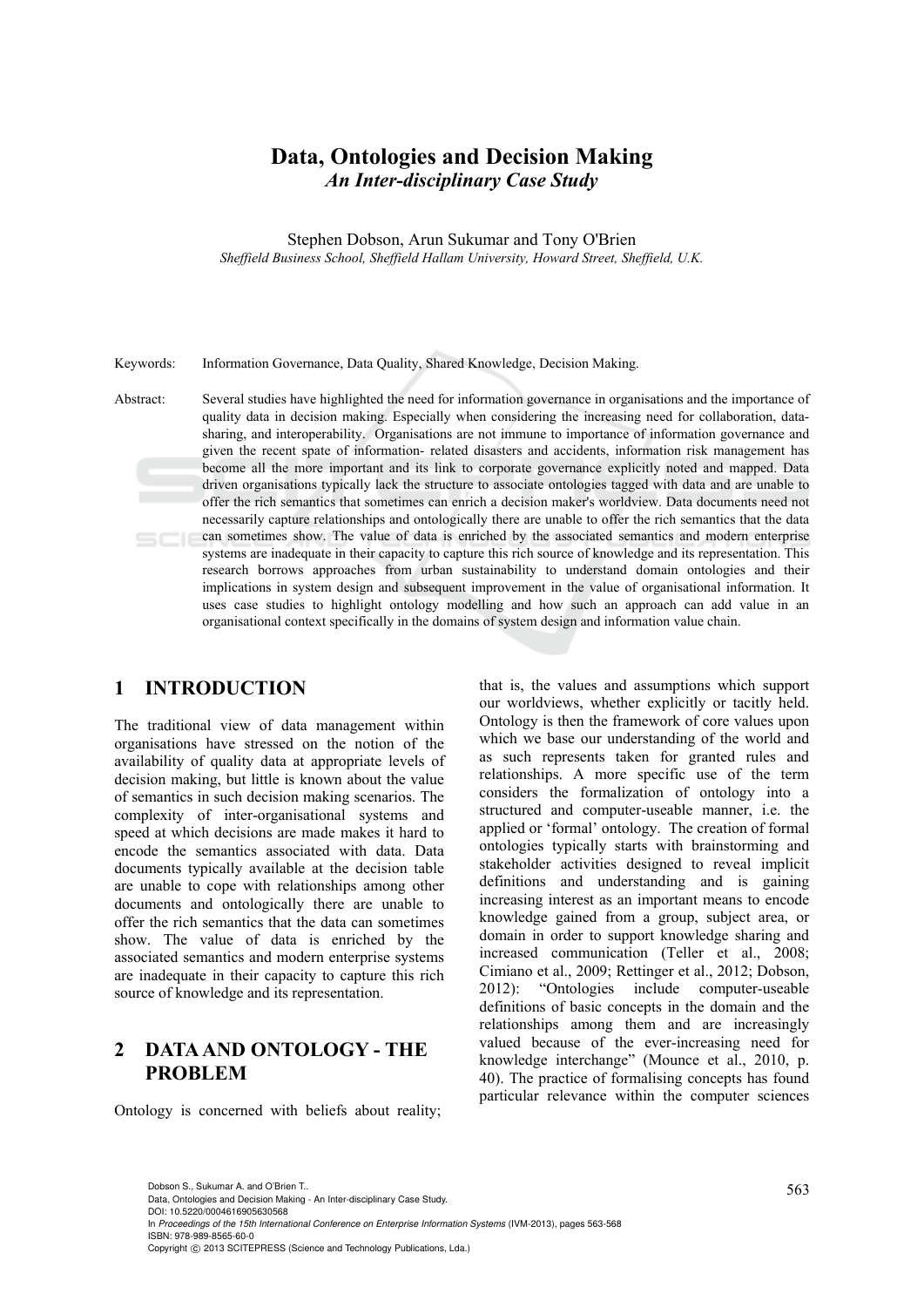# **Data, Ontologies and Decision Making**  *An Inter-disciplinary Case Study*

Stephen Dobson, Arun Sukumar and Tony O'Brien *Sheffield Business School, Sheffield Hallam University, Howard Street, Sheffield, U.K.* 

#### Keywords: Information Governance, Data Quality, Shared Knowledge, Decision Making.

Abstract: Several studies have highlighted the need for information governance in organisations and the importance of quality data in decision making. Especially when considering the increasing need for collaboration, datasharing, and interoperability. Organisations are not immune to importance of information governance and given the recent spate of information- related disasters and accidents, information risk management has become all the more important and its link to corporate governance explicitly noted and mapped. Data driven organisations typically lack the structure to associate ontologies tagged with data and are unable to offer the rich semantics that sometimes can enrich a decision maker's worldview. Data documents need not necessarily capture relationships and ontologically there are unable to offer the rich semantics that the data can sometimes show. The value of data is enriched by the associated semantics and modern enterprise systems are inadequate in their capacity to capture this rich source of knowledge and its representation. This research borrows approaches from urban sustainability to understand domain ontologies and their implications in system design and subsequent improvement in the value of organisational information. It uses case studies to highlight ontology modelling and how such an approach can add value in an organisational context specifically in the domains of system design and information value chain.

### **1 INTRODUCTION**

The traditional view of data management within organisations have stressed on the notion of the availability of quality data at appropriate levels of decision making, but little is known about the value of semantics in such decision making scenarios. The complexity of inter-organisational systems and speed at which decisions are made makes it hard to encode the semantics associated with data. Data documents typically available at the decision table are unable to cope with relationships among other documents and ontologically there are unable to offer the rich semantics that the data can sometimes show. The value of data is enriched by the associated semantics and modern enterprise systems are inadequate in their capacity to capture this rich source of knowledge and its representation.

## **2 DATA AND ONTOLOGY - THE PROBLEM**

Ontology is concerned with beliefs about reality;

that is, the values and assumptions which support our worldviews, whether explicitly or tacitly held. Ontology is then the framework of core values upon which we base our understanding of the world and as such represents taken for granted rules and relationships. A more specific use of the term considers the formalization of ontology into a structured and computer-useable manner, i.e. the applied or 'formal' ontology. The creation of formal ontologies typically starts with brainstorming and stakeholder activities designed to reveal implicit definitions and understanding and is gaining increasing interest as an important means to encode knowledge gained from a group, subject area, or domain in order to support knowledge sharing and increased communication (Teller et al., 2008; Cimiano et al., 2009; Rettinger et al., 2012; Dobson, 2012): "Ontologies include computer-useable definitions of basic concepts in the domain and the relationships among them and are increasingly valued because of the ever-increasing need for knowledge interchange" (Mounce et al., 2010, p. 40). The practice of formalising concepts has found particular relevance within the computer sciences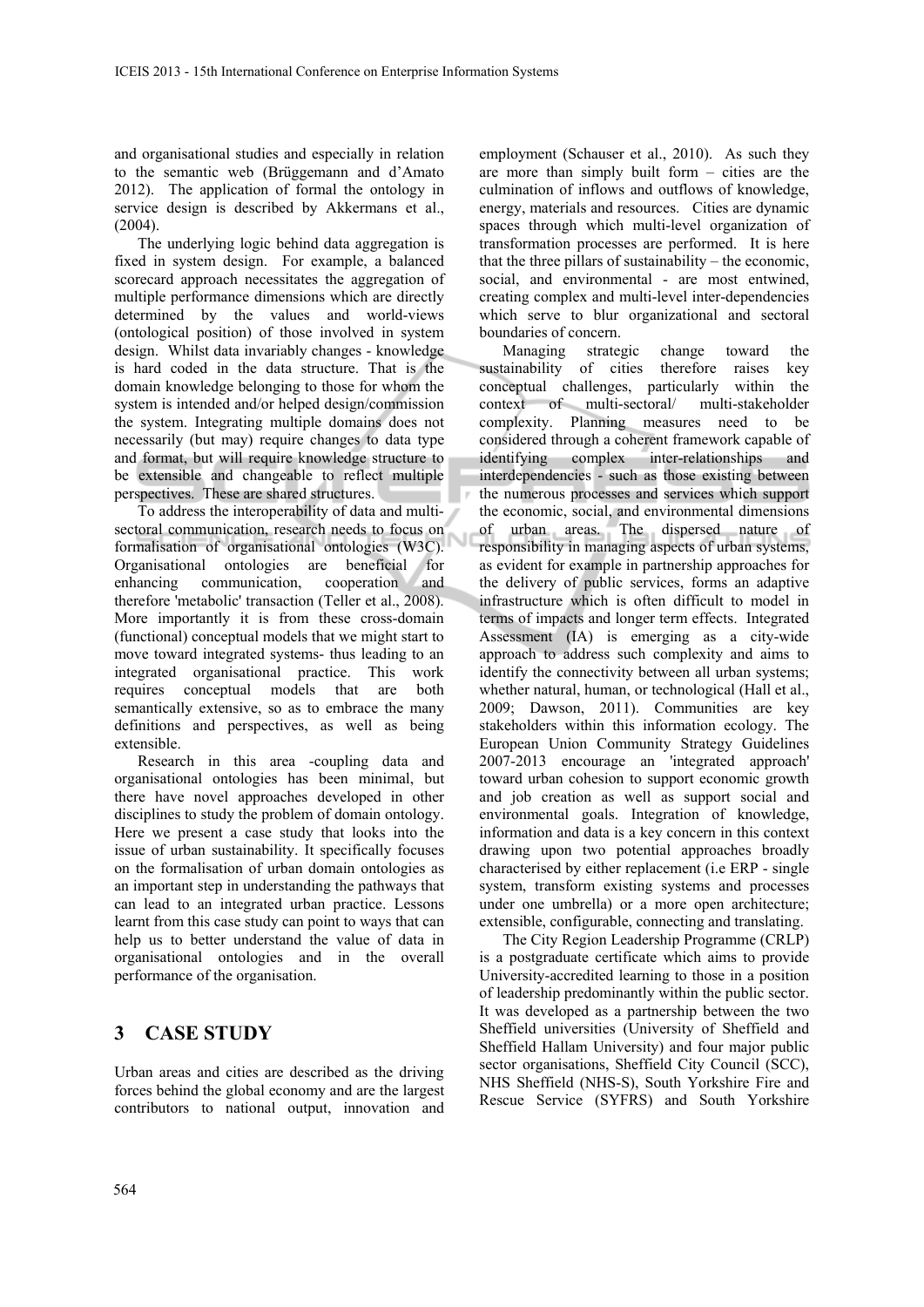and organisational studies and especially in relation to the semantic web (Brüggemann and d'Amato 2012). The application of formal the ontology in service design is described by Akkermans et al., (2004).

The underlying logic behind data aggregation is fixed in system design. For example, a balanced scorecard approach necessitates the aggregation of multiple performance dimensions which are directly determined by the values and world-views (ontological position) of those involved in system design. Whilst data invariably changes - knowledge is hard coded in the data structure. That is the domain knowledge belonging to those for whom the system is intended and/or helped design/commission the system. Integrating multiple domains does not necessarily (but may) require changes to data type and format, but will require knowledge structure to be extensible and changeable to reflect multiple perspectives. These are shared structures.

To address the interoperability of data and multisectoral communication, research needs to focus on formalisation of organisational ontologies (W3C). Organisational ontologies are beneficial for enhancing communication, cooperation and therefore 'metabolic' transaction (Teller et al., 2008). More importantly it is from these cross-domain (functional) conceptual models that we might start to move toward integrated systems- thus leading to an integrated organisational practice. This work requires conceptual models that are both semantically extensive, so as to embrace the many definitions and perspectives, as well as being extensible.

Research in this area -coupling data and organisational ontologies has been minimal, but there have novel approaches developed in other disciplines to study the problem of domain ontology. Here we present a case study that looks into the issue of urban sustainability. It specifically focuses on the formalisation of urban domain ontologies as an important step in understanding the pathways that can lead to an integrated urban practice. Lessons learnt from this case study can point to ways that can help us to better understand the value of data in organisational ontologies and in the overall performance of the organisation.

# **3 CASE STUDY**

Urban areas and cities are described as the driving forces behind the global economy and are the largest contributors to national output, innovation and

employment (Schauser et al., 2010). As such they are more than simply built form – cities are the culmination of inflows and outflows of knowledge, energy, materials and resources. Cities are dynamic spaces through which multi-level organization of transformation processes are performed. It is here that the three pillars of sustainability – the economic, social, and environmental - are most entwined, creating complex and multi-level inter-dependencies which serve to blur organizational and sectoral boundaries of concern.

Managing strategic change toward the sustainability of cities therefore raises key conceptual challenges, particularly within the context of multi-sectoral/ multi-stakeholder complexity. Planning measures need to be considered through a coherent framework capable of identifying complex inter-relationships and interdependencies - such as those existing between the numerous processes and services which support the economic, social, and environmental dimensions of urban areas. The dispersed nature of responsibility in managing aspects of urban systems, as evident for example in partnership approaches for the delivery of public services, forms an adaptive infrastructure which is often difficult to model in terms of impacts and longer term effects. Integrated Assessment (IA) is emerging as a city-wide approach to address such complexity and aims to identify the connectivity between all urban systems; whether natural, human, or technological (Hall et al., 2009; Dawson, 2011). Communities are key stakeholders within this information ecology. The European Union Community Strategy Guidelines 2007-2013 encourage an 'integrated approach' toward urban cohesion to support economic growth and job creation as well as support social and environmental goals. Integration of knowledge, information and data is a key concern in this context drawing upon two potential approaches broadly characterised by either replacement (i.e ERP - single system, transform existing systems and processes under one umbrella) or a more open architecture; extensible, configurable, connecting and translating.

The City Region Leadership Programme (CRLP) is a postgraduate certificate which aims to provide University-accredited learning to those in a position of leadership predominantly within the public sector. It was developed as a partnership between the two Sheffield universities (University of Sheffield and Sheffield Hallam University) and four major public sector organisations, Sheffield City Council (SCC), NHS Sheffield (NHS-S), South Yorkshire Fire and Rescue Service (SYFRS) and South Yorkshire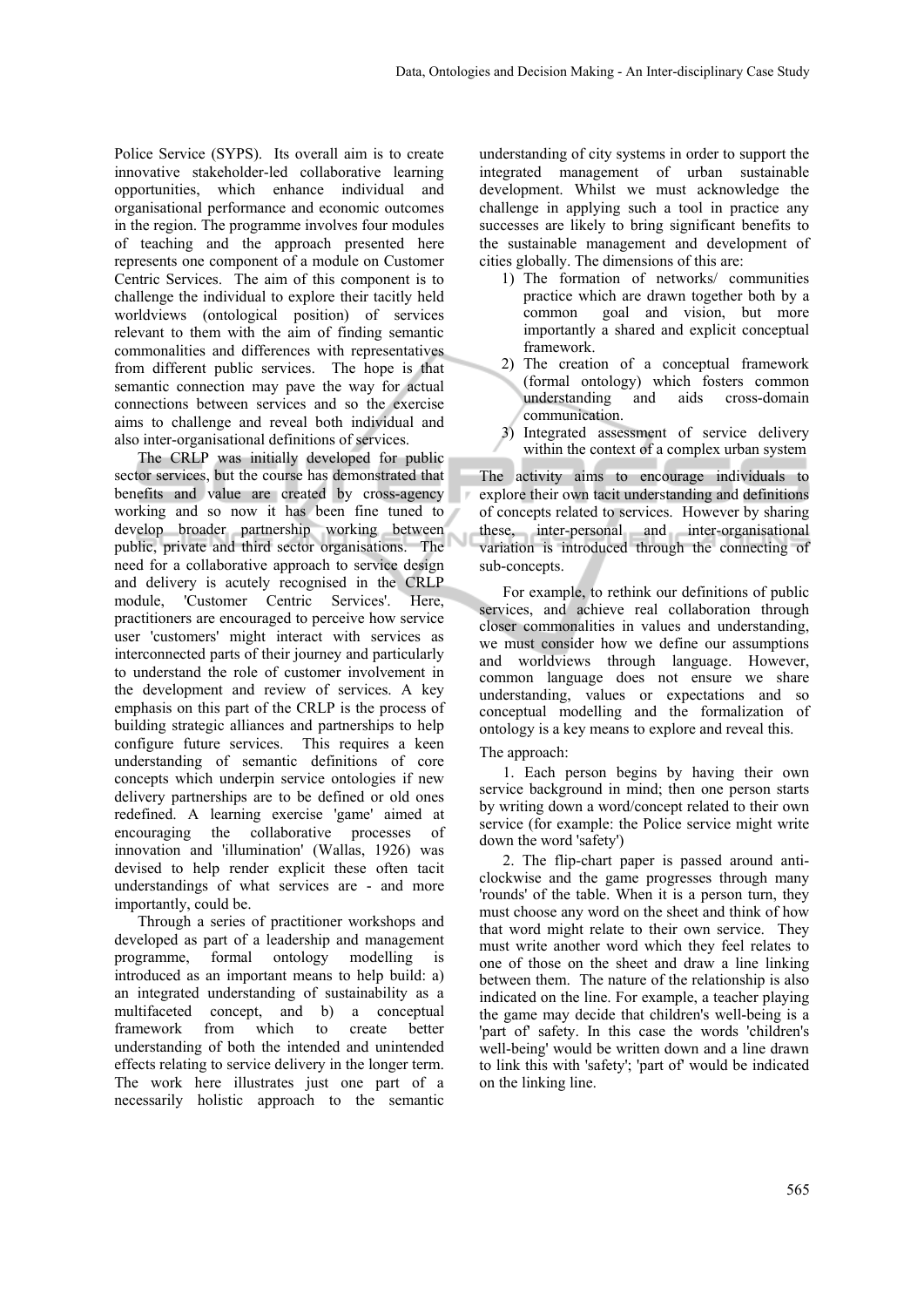Police Service (SYPS). Its overall aim is to create innovative stakeholder-led collaborative learning opportunities, which enhance individual and organisational performance and economic outcomes in the region. The programme involves four modules of teaching and the approach presented here represents one component of a module on Customer Centric Services. The aim of this component is to challenge the individual to explore their tacitly held worldviews (ontological position) of services relevant to them with the aim of finding semantic commonalities and differences with representatives from different public services. The hope is that semantic connection may pave the way for actual connections between services and so the exercise aims to challenge and reveal both individual and also inter-organisational definitions of services.

The CRLP was initially developed for public sector services, but the course has demonstrated that benefits and value are created by cross-agency working and so now it has been fine tuned to develop broader partnership working between Ñ public, private and third sector organisations. The need for a collaborative approach to service design and delivery is acutely recognised in the CRLP module, 'Customer Centric Services'. Here, practitioners are encouraged to perceive how service user 'customers' might interact with services as interconnected parts of their journey and particularly to understand the role of customer involvement in the development and review of services. A key emphasis on this part of the CRLP is the process of building strategic alliances and partnerships to help configure future services. This requires a keen understanding of semantic definitions of core concepts which underpin service ontologies if new delivery partnerships are to be defined or old ones redefined. A learning exercise 'game' aimed at encouraging the collaborative processes of innovation and 'illumination' (Wallas, 1926) was devised to help render explicit these often tacit understandings of what services are - and more importantly, could be.

Through a series of practitioner workshops and developed as part of a leadership and management programme, formal ontology modelling is introduced as an important means to help build: a) an integrated understanding of sustainability as a multifaceted concept, and b) a conceptual framework from which to create better understanding of both the intended and unintended effects relating to service delivery in the longer term. The work here illustrates just one part of a necessarily holistic approach to the semantic

understanding of city systems in order to support the integrated management of urban sustainable development. Whilst we must acknowledge the challenge in applying such a tool in practice any successes are likely to bring significant benefits to the sustainable management and development of cities globally. The dimensions of this are:

- 1) The formation of networks/ communities practice which are drawn together both by a common goal and vision, but more importantly a shared and explicit conceptual framework.
- 2) The creation of a conceptual framework (formal ontology) which fosters common understanding and aids cross-domain communication.
- 3) Integrated assessment of service delivery within the context of a complex urban system

The activity aims to encourage individuals to explore their own tacit understanding and definitions of concepts related to services. However by sharing these, inter-personal and inter-organisational variation is introduced through the connecting of sub-concepts.

For example, to rethink our definitions of public services, and achieve real collaboration through closer commonalities in values and understanding, we must consider how we define our assumptions and worldviews through language. However, common language does not ensure we share understanding, values or expectations and so conceptual modelling and the formalization of ontology is a key means to explore and reveal this.

#### The approach:

1. Each person begins by having their own service background in mind; then one person starts by writing down a word/concept related to their own service (for example: the Police service might write down the word 'safety')

2. The flip-chart paper is passed around anticlockwise and the game progresses through many 'rounds' of the table. When it is a person turn, they must choose any word on the sheet and think of how that word might relate to their own service. They must write another word which they feel relates to one of those on the sheet and draw a line linking between them. The nature of the relationship is also indicated on the line. For example, a teacher playing the game may decide that children's well-being is a 'part of' safety. In this case the words 'children's well-being' would be written down and a line drawn to link this with 'safety'; 'part of' would be indicated on the linking line.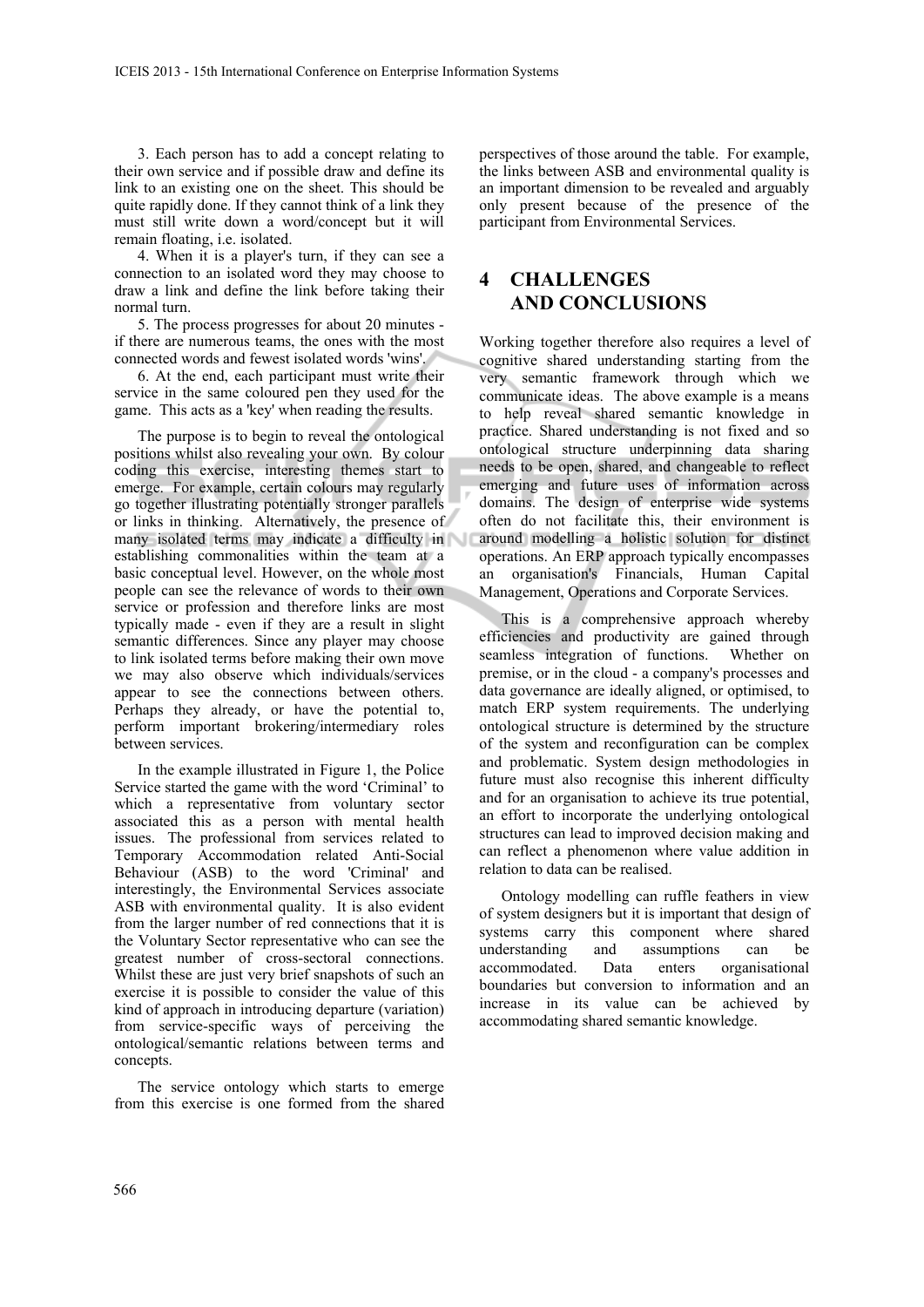3. Each person has to add a concept relating to their own service and if possible draw and define its link to an existing one on the sheet. This should be quite rapidly done. If they cannot think of a link they must still write down a word/concept but it will remain floating, i.e. isolated.

4. When it is a player's turn, if they can see a connection to an isolated word they may choose to draw a link and define the link before taking their normal turn.

5. The process progresses for about 20 minutes if there are numerous teams, the ones with the most connected words and fewest isolated words 'wins'.

6. At the end, each participant must write their service in the same coloured pen they used for the game. This acts as a 'key' when reading the results.

The purpose is to begin to reveal the ontological positions whilst also revealing your own. By colour coding this exercise, interesting themes start to emerge. For example, certain colours may regularly go together illustrating potentially stronger parallels or links in thinking. Alternatively, the presence of many isolated terms may indicate a difficulty in establishing commonalities within the team at a basic conceptual level. However, on the whole most people can see the relevance of words to their own service or profession and therefore links are most typically made - even if they are a result in slight semantic differences. Since any player may choose to link isolated terms before making their own move we may also observe which individuals/services appear to see the connections between others. Perhaps they already, or have the potential to, perform important brokering/intermediary roles between services.

In the example illustrated in Figure 1, the Police Service started the game with the word 'Criminal' to which a representative from voluntary sector associated this as a person with mental health issues. The professional from services related to Temporary Accommodation related Anti-Social Behaviour (ASB) to the word 'Criminal' and interestingly, the Environmental Services associate ASB with environmental quality. It is also evident from the larger number of red connections that it is the Voluntary Sector representative who can see the greatest number of cross-sectoral connections. Whilst these are just very brief snapshots of such an exercise it is possible to consider the value of this kind of approach in introducing departure (variation) from service-specific ways of perceiving the ontological/semantic relations between terms and concepts.

The service ontology which starts to emerge from this exercise is one formed from the shared

perspectives of those around the table. For example, the links between ASB and environmental quality is an important dimension to be revealed and arguably only present because of the presence of the participant from Environmental Services.

## **4 CHALLENGES AND CONCLUSIONS**

Working together therefore also requires a level of cognitive shared understanding starting from the very semantic framework through which we communicate ideas. The above example is a means to help reveal shared semantic knowledge in practice. Shared understanding is not fixed and so ontological structure underpinning data sharing needs to be open, shared, and changeable to reflect emerging and future uses of information across domains. The design of enterprise wide systems often do not facilitate this, their environment is around modelling a holistic solution for distinct operations. An ERP approach typically encompasses an organisation's Financials, Human Capital Management, Operations and Corporate Services.

This is a comprehensive approach whereby efficiencies and productivity are gained through seamless integration of functions. Whether on premise, or in the cloud - a company's processes and data governance are ideally aligned, or optimised, to match ERP system requirements. The underlying ontological structure is determined by the structure of the system and reconfiguration can be complex and problematic. System design methodologies in future must also recognise this inherent difficulty and for an organisation to achieve its true potential, an effort to incorporate the underlying ontological structures can lead to improved decision making and can reflect a phenomenon where value addition in relation to data can be realised.

Ontology modelling can ruffle feathers in view of system designers but it is important that design of systems carry this component where shared understanding and assumptions can be accommodated. Data enters organisational boundaries but conversion to information and an increase in its value can be achieved by accommodating shared semantic knowledge.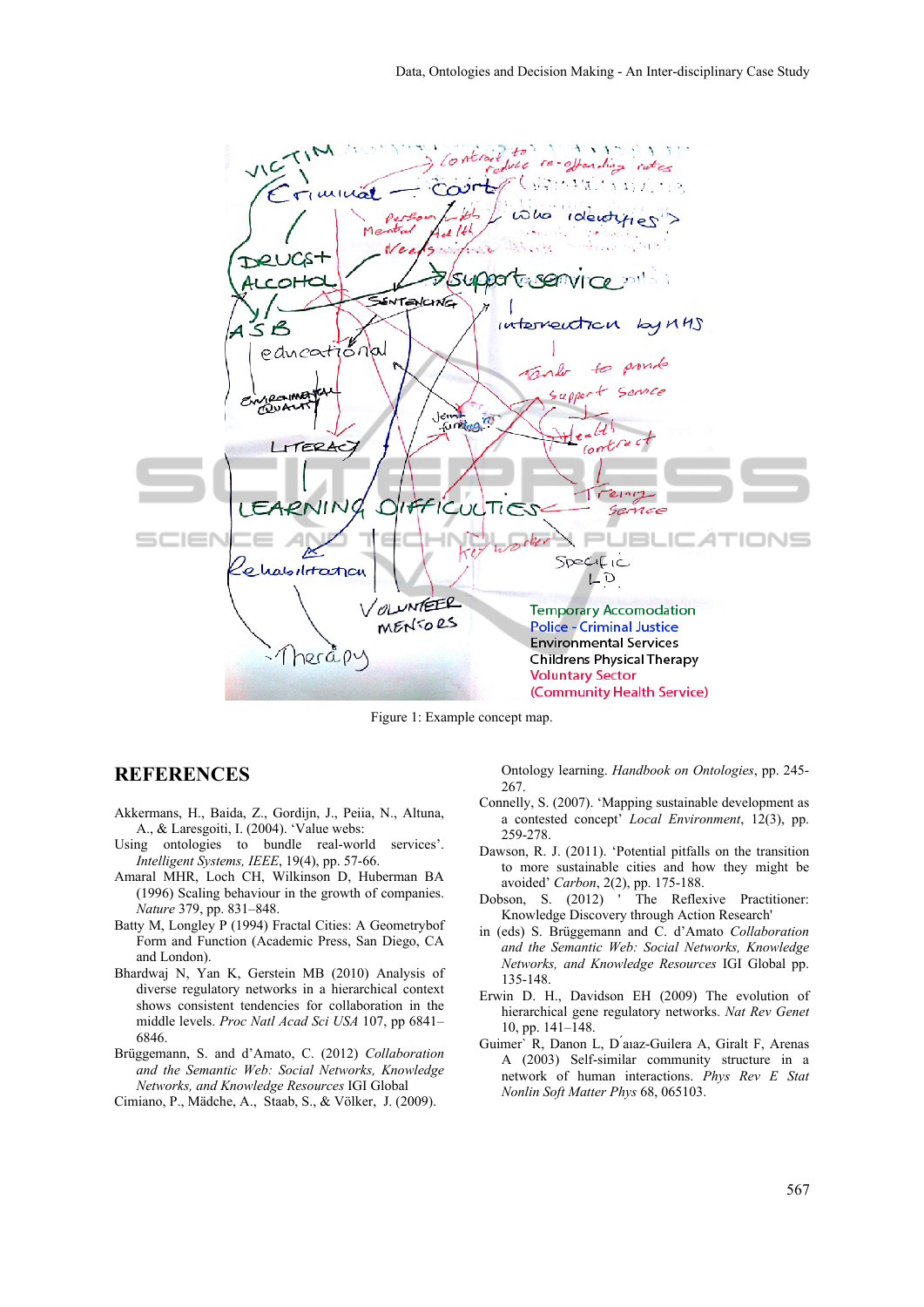

Figure 1: Example concept map.

### **REFERENCES**

- Akkermans, H., Baida, Z., Gordijn, J., Peiia, N., Altuna, A., & Laresgoiti, I. (2004). 'Value webs:
- Using ontologies to bundle real-world services'. *Intelligent Systems, IEEE*, 19(4), pp. 57-66.
- Amaral MHR, Loch CH, Wilkinson D, Huberman BA (1996) Scaling behaviour in the growth of companies. *Nature* 379, pp. 831–848.
- Batty M, Longley P (1994) Fractal Cities: A Geometrybof Form and Function (Academic Press, San Diego, CA and London).
- Bhardwaj N, Yan K, Gerstein MB (2010) Analysis of diverse regulatory networks in a hierarchical context shows consistent tendencies for collaboration in the middle levels. *Proc Natl Acad Sci USA* 107, pp 6841– 6846.
- Brüggemann, S. and d'Amato, C. (2012) *Collaboration and the Semantic Web: Social Networks, Knowledge Networks, and Knowledge Resources* IGI Global
- Cimiano, P., Mädche, A., Staab, S., & Völker, J. (2009).

Ontology learning. *Handbook on Ontologies*, pp. 245- 267.

- Connelly, S. (2007). 'Mapping sustainable development as a contested concept' *Local Environment*, 12(3), pp. 259-278.
- Dawson, R. J. (2011). 'Potential pitfalls on the transition to more sustainable cities and how they might be
- avoided' *Carbon*, 2(2), pp. 175-188.<br>Dobson, S. (2012) ' The Reflex The Reflexive Practitioner: Knowledge Discovery through Action Research'
- in (eds) S. Brüggemann and C. d'Amato *Collaboration and the Semantic Web: Social Networks, Knowledge Networks, and Knowledge Resources* IGI Global pp. 135-148.
- Erwin D. H., Davidson EH (2009) The evolution of hierarchical gene regulatory networks. *Nat Rev Genet* 10, pp. 141–148.
- Guimer` R, Danon L, D ́aıaz-Guilera A, Giralt F, Arenas A (2003) Self-similar community structure in a network of human interactions. *Phys Rev E Stat Nonlin Soft Matter Phys* 68, 065103.